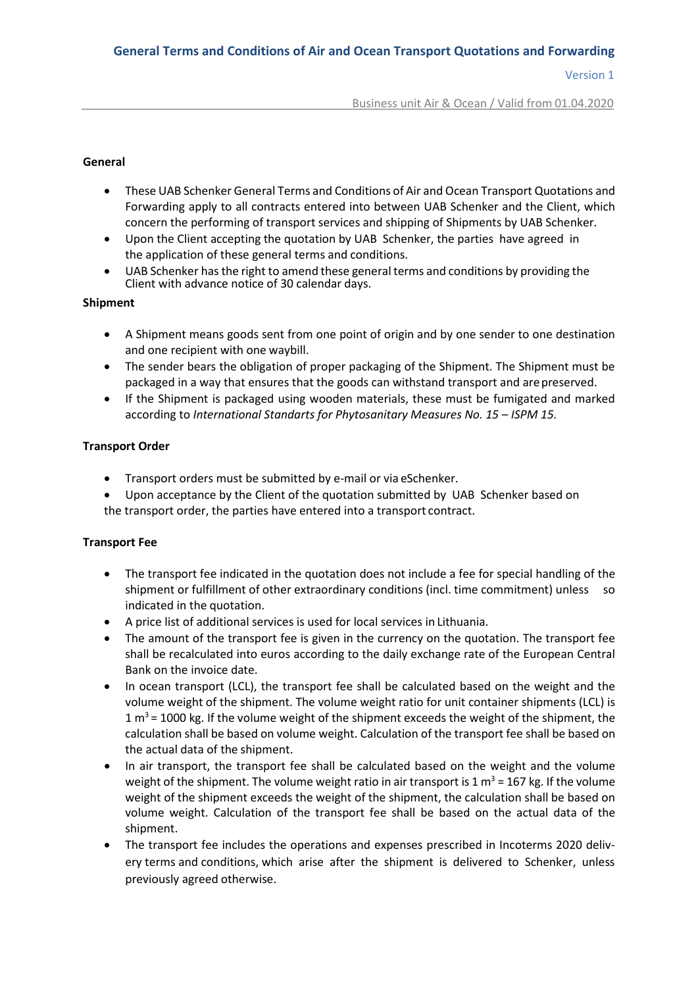# **General Terms and Conditions of Air and Ocean Transport Quotations and Forwarding**

Version 1

Business unit Air & Ocean / Valid from 01.04.2020

## **General**

- These UAB Schenker General Terms and Conditions of Air and Ocean Transport Quotations and Forwarding apply to all contracts entered into between UAB Schenker and the Client, which concern the performing of transport services and shipping of Shipments by UAB Schenker.
- Upon the Client accepting the quotation by UAB Schenker, the parties have agreed in the application of these general terms and conditions.
- UAB Schenker has the right to amend these general terms and conditions by providing the Client with advance notice of 30 calendar days.

## **Shipment**

- A Shipment means goods sent from one point of origin and by one sender to one destination and one recipient with one waybill.
- The sender bears the obligation of proper packaging of the Shipment. The Shipment must be packaged in a way that ensures that the goods can withstand transport and arepreserved.
- If the Shipment is packaged using wooden materials, these must be fumigated and marked according to *International Standarts for Phytosanitary Measures No. 15 – ISPM 15.*

## **Transport Order**

- Transport orders must be submitted by e-mail or via eSchenker.
- Upon acceptance by the Client of the quotation submitted by UAB Schenker based on the transport order, the parties have entered into a transport contract.

## **Transport Fee**

- The transport fee indicated in the quotation does not include a fee for special handling of the shipment or fulfillment of other extraordinary conditions (incl. time commitment) unless so indicated in the quotation.
- A price list of additional services is used for local services in Lithuania.
- The amount of the transport fee is given in the currency on the quotation. The transport fee shall be recalculated into euros according to the daily exchange rate of the European Central Bank on the invoice date.
- In ocean transport (LCL), the transport fee shall be calculated based on the weight and the volume weight of the shipment. The volume weight ratio for unit container shipments (LCL) is 1  $\text{m}^3$  = 1000 kg. If the volume weight of the shipment exceeds the weight of the shipment, the calculation shall be based on volume weight. Calculation of the transport fee shall be based on the actual data of the shipment.
- In air transport, the transport fee shall be calculated based on the weight and the volume weight of the shipment. The volume weight ratio in air transport is 1  $m^3$  = 167 kg. If the volume weight of the shipment exceeds the weight of the shipment, the calculation shall be based on volume weight. Calculation of the transport fee shall be based on the actual data of the shipment.
- The transport fee includes the operations and expenses prescribed in Incoterms 2020 delivery terms and conditions, which arise after the shipment is delivered to Schenker, unless previously agreed otherwise.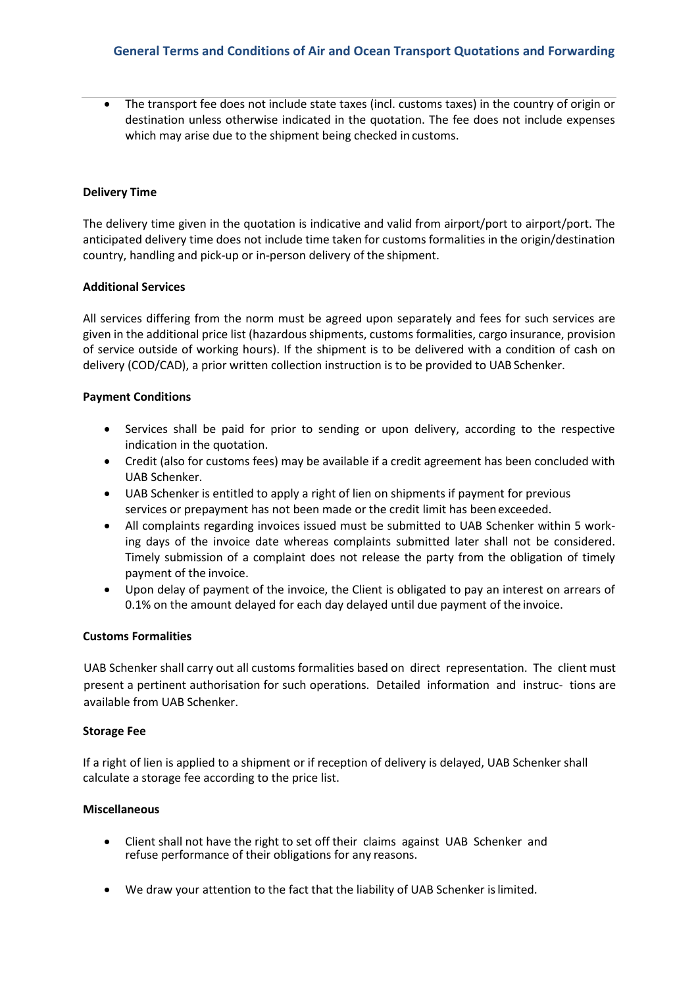• The transport fee does not include state taxes (incl. customs taxes) in the country of origin or destination unless otherwise indicated in the quotation. The fee does not include expenses which may arise due to the shipment being checked in customs.

#### **Delivery Time**

The delivery time given in the quotation is indicative and valid from airport/port to airport/port. The anticipated delivery time does not include time taken for customs formalities in the origin/destination country, handling and pick-up or in-person delivery of the shipment.

#### **Additional Services**

All services differing from the norm must be agreed upon separately and fees for such services are given in the additional price list (hazardous shipments, customs formalities, cargo insurance, provision of service outside of working hours). If the shipment is to be delivered with a condition of cash on delivery (COD/CAD), a prior written collection instruction is to be provided to UAB Schenker.

## **Payment Conditions**

- Services shall be paid for prior to sending or upon delivery, according to the respective indication in the quotation.
- Credit (also for customs fees) may be available if a credit agreement has been concluded with UAB Schenker.
- UAB Schenker is entitled to apply a right of lien on shipments if payment for previous services or prepayment has not been made or the credit limit has been exceeded.
- All complaints regarding invoices issued must be submitted to UAB Schenker within 5 working days of the invoice date whereas complaints submitted later shall not be considered. Timely submission of a complaint does not release the party from the obligation of timely payment of the invoice.
- Upon delay of payment of the invoice, the Client is obligated to pay an interest on arrears of 0.1% on the amount delayed for each day delayed until due payment of the invoice.

## **Customs Formalities**

UAB Schenker shall carry out all customs formalities based on direct representation. The client must present a pertinent authorisation for such operations. Detailed information and instruc- tions are available from UAB Schenker.

#### **Storage Fee**

If a right of lien is applied to a shipment or if reception of delivery is delayed, UAB Schenker shall calculate a storage fee according to the price list.

#### **Miscellaneous**

- Client shall not have the right to set off their claims against UAB Schenker and refuse performance of their obligations for any reasons.
- We draw your attention to the fact that the liability of UAB Schenker islimited.